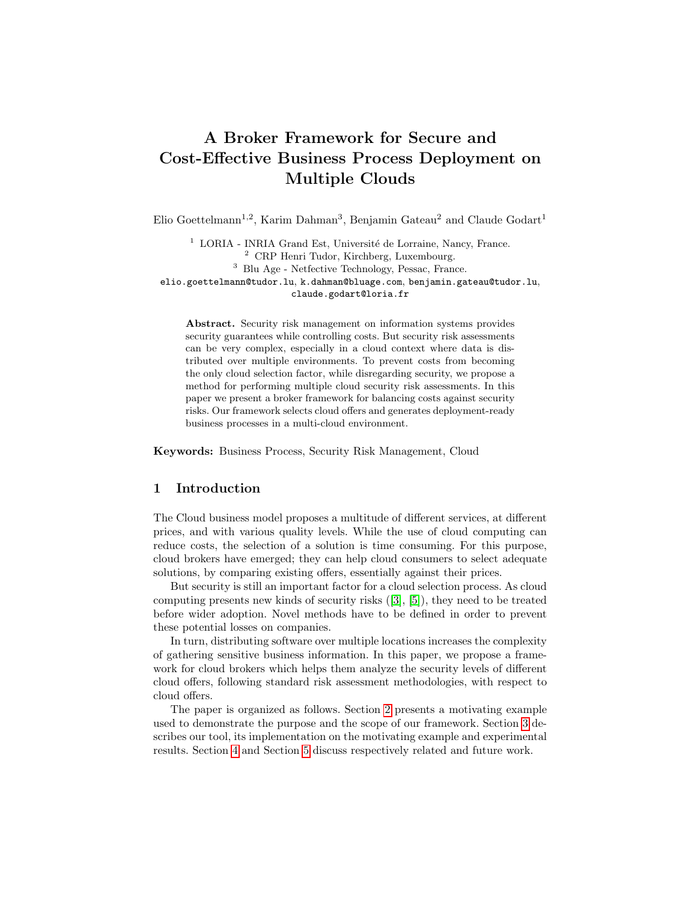# A Broker Framework for Secure and Cost-Effective Business Process Deployment on Multiple Clouds

Elio Goettelmann<sup>1,2</sup>, Karim Dahman<sup>3</sup>, Benjamin Gateau<sup>2</sup> and Claude Godart<sup>1</sup>

 $1$  LORIA - INRIA Grand Est, Université de Lorraine, Nancy, France. <sup>2</sup> CRP Henri Tudor, Kirchberg, Luxembourg. <sup>3</sup> Blu Age - Netfective Technology, Pessac, France. elio.goettelmann@tudor.lu, k.dahman@bluage.com, benjamin.gateau@tudor.lu, claude.godart@loria.fr

Abstract. Security risk management on information systems provides security guarantees while controlling costs. But security risk assessments can be very complex, especially in a cloud context where data is distributed over multiple environments. To prevent costs from becoming the only cloud selection factor, while disregarding security, we propose a method for performing multiple cloud security risk assessments. In this paper we present a broker framework for balancing costs against security risks. Our framework selects cloud offers and generates deployment-ready business processes in a multi-cloud environment.

Keywords: Business Process, Security Risk Management, Cloud

# 1 Introduction

The Cloud business model proposes a multitude of different services, at different prices, and with various quality levels. While the use of cloud computing can reduce costs, the selection of a solution is time consuming. For this purpose, cloud brokers have emerged; they can help cloud consumers to select adequate solutions, by comparing existing offers, essentially against their prices.

But security is still an important factor for a cloud selection process. As cloud computing presents new kinds of security risks ([\[3\]](#page-7-0), [\[5\]](#page-7-1)), they need to be treated before wider adoption. Novel methods have to be defined in order to prevent these potential losses on companies.

In turn, distributing software over multiple locations increases the complexity of gathering sensitive business information. In this paper, we propose a framework for cloud brokers which helps them analyze the security levels of different cloud offers, following standard risk assessment methodologies, with respect to cloud offers.

The paper is organized as follows. Section [2](#page-1-0) presents a motivating example used to demonstrate the purpose and the scope of our framework. Section [3](#page-2-0) describes our tool, its implementation on the motivating example and experimental results. Section [4](#page-6-0) and Section [5](#page-7-2) discuss respectively related and future work.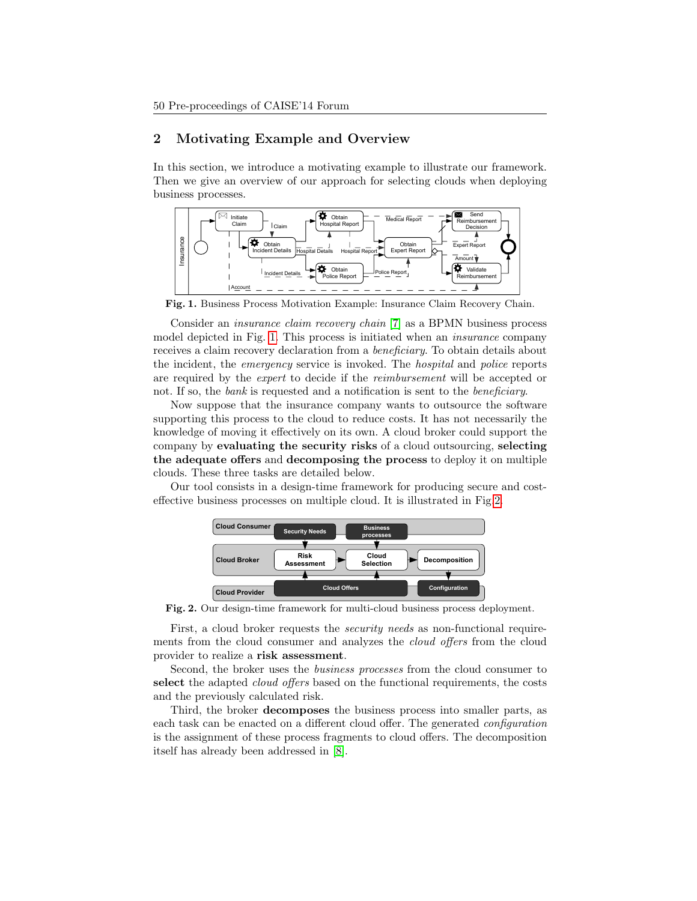# <span id="page-1-0"></span>2 Motivating Example and Overview

In this section, we introduce a motivating example to illustrate our framework. Then we give an overview of our approach for selecting clouds when deploying business processes.



<span id="page-1-1"></span>Fig. 1. Business Process Motivation Example: Insurance Claim Recovery Chain.

Consider an insurance claim recovery chain [\[7\]](#page-7-3) as a BPMN business process model depicted in Fig. [1.](#page-1-1) This process is initiated when an insurance company receives a claim recovery declaration from a beneficiary. To obtain details about the incident, the emergency service is invoked. The hospital and police reports are required by the expert to decide if the reimbursement will be accepted or not. If so, the *bank* is requested and a notification is sent to the *beneficiary*.

Now suppose that the insurance company wants to outsource the software supporting this process to the cloud to reduce costs. It has not necessarily the knowledge of moving it effectively on its own. A cloud broker could support the company by evaluating the security risks of a cloud outsourcing, selecting the adequate offers and decomposing the process to deploy it on multiple clouds. These three tasks are detailed below.

Our tool consists in a design-time framework for producing secure and costeffective business processes on multiple cloud. It is illustrated in Fig[.2.](#page-1-2)

<span id="page-1-2"></span>

Fig. 2. Our design-time framework for multi-cloud business process deployment.

First, a cloud broker requests the *security needs* as non-functional requirements from the cloud consumer and analyzes the *cloud offers* from the cloud provider to realize a risk assessment.

Second, the broker uses the business processes from the cloud consumer to select the adapted *cloud offers* based on the functional requirements, the costs and the previously calculated risk.

Third, the broker decomposes the business process into smaller parts, as each task can be enacted on a different cloud offer. The generated configuration is the assignment of these process fragments to cloud offers. The decomposition itself has already been addressed in [\[8\]](#page-7-4).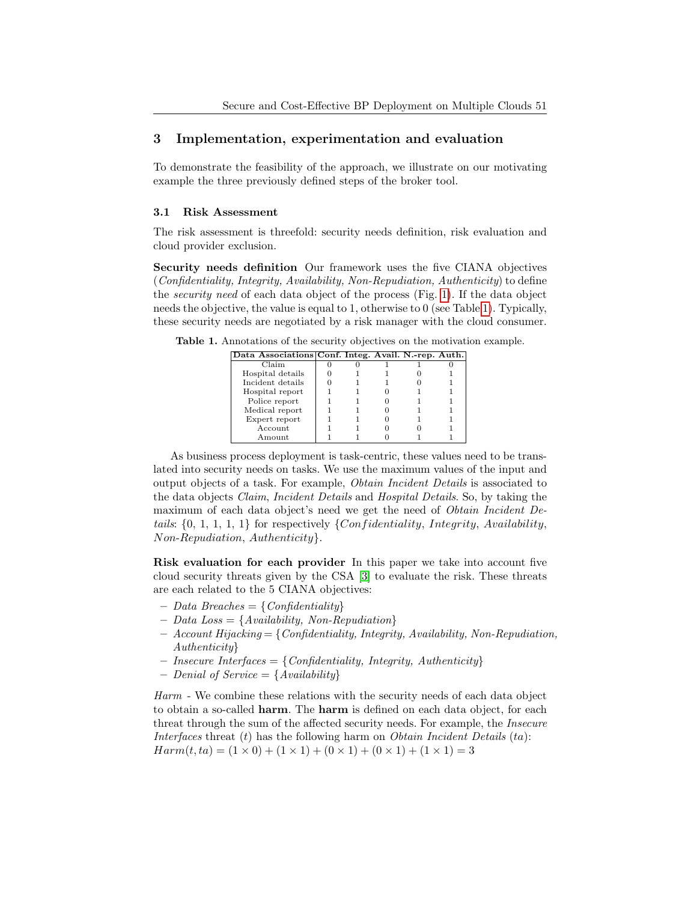# <span id="page-2-0"></span>3 Implementation, experimentation and evaluation

To demonstrate the feasibility of the approach, we illustrate on our motivating example the three previously defined steps of the broker tool.

#### 3.1 Risk Assessment

The risk assessment is threefold: security needs definition, risk evaluation and cloud provider exclusion.

Security needs definition Our framework uses the five CIANA objectives (Confidentiality, Integrity, Availability, Non-Repudiation, Authenticity) to define the security need of each data object of the process (Fig. [1\)](#page-1-1). If the data object needs the objective, the value is equal to 1, otherwise to 0 (see Table [1\)](#page-2-1). Typically, these security needs are negotiated by a risk manager with the cloud consumer.

<span id="page-2-1"></span>Table 1. Annotations of the security objectives on the motivation example.

| Data Associations Conf. Integ. Avail. N.-rep. Auth. |  |  |  |
|-----------------------------------------------------|--|--|--|
| Claim                                               |  |  |  |
| Hospital details                                    |  |  |  |
| Incident details                                    |  |  |  |
| Hospital report                                     |  |  |  |
| Police report                                       |  |  |  |
| Medical report                                      |  |  |  |
| Expert report                                       |  |  |  |
| Account                                             |  |  |  |
| Amount                                              |  |  |  |

As business process deployment is task-centric, these values need to be translated into security needs on tasks. We use the maximum values of the input and output objects of a task. For example, Obtain Incident Details is associated to the data objects Claim, Incident Details and Hospital Details. So, by taking the maximum of each data object's need we get the need of Obtain Incident Details:  $\{0, 1, 1, 1, 1\}$  for respectively  $\{Confidentiality, Integrity, Availableality,$ Non-Repudiation, Authenticity}.

Risk evaluation for each provider In this paper we take into account five cloud security threats given by the CSA [\[3\]](#page-7-0) to evaluate the risk. These threats are each related to the 5 CIANA objectives:

- $Data~B reaches = {Confdentially}$
- $Data Loss = \{Availableility, Non-Reputation\}$
- $-$  Account Hijacking  $=\{Confidentiality,$  Integrity, Availability, Non-Repudiation, Authenticity}
- $-$  Insecure Interfaces  $=$  {Confidentiality, Integrity, Authenticity}
- Denial of Service  $= \{Availability\}$

Harm - We combine these relations with the security needs of each data object to obtain a so-called harm. The harm is defined on each data object, for each threat through the sum of the affected security needs. For example, the Insecure Interfaces threat  $(t)$  has the following harm on *Obtain Incident Details*  $(ta)$ :  $Harm(t, ta) = (1 \times 0) + (1 \times 1) + (0 \times 1) + (0 \times 1) + (1 \times 1) = 3$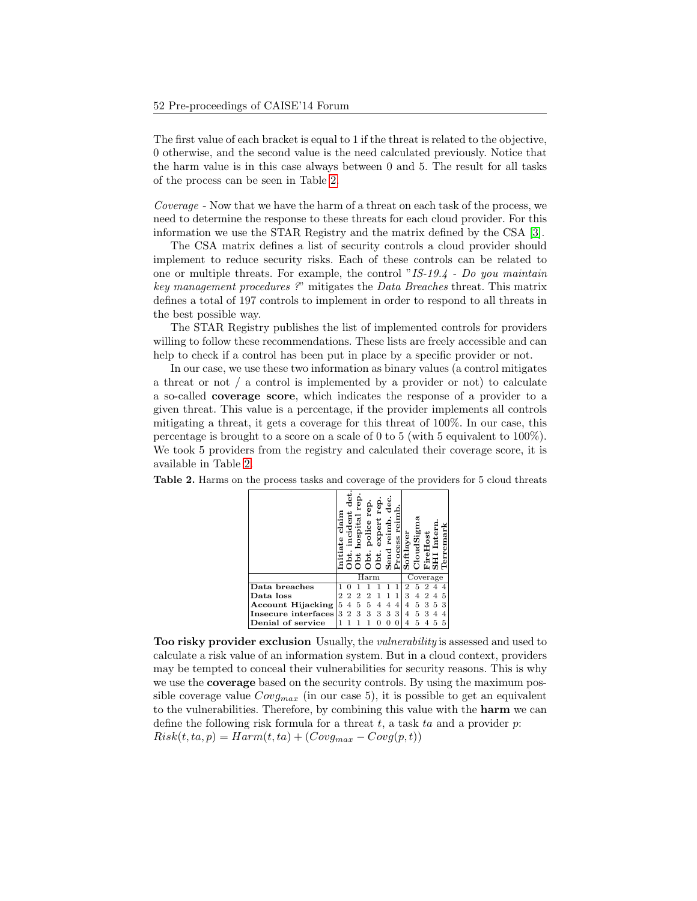The first value of each bracket is equal to 1 if the threat is related to the objective, 0 otherwise, and the second value is the need calculated previously. Notice that the harm value is in this case always between 0 and 5. The result for all tasks of the process can be seen in Table [2.](#page-3-0)

Coverage - Now that we have the harm of a threat on each task of the process, we need to determine the response to these threats for each cloud provider. For this information we use the STAR Registry and the matrix defined by the CSA [\[3\]](#page-7-0).

The CSA matrix defines a list of security controls a cloud provider should implement to reduce security risks. Each of these controls can be related to one or multiple threats. For example, the control "IS-19.4 - Do you maintain key management procedures ?" mitigates the Data Breaches threat. This matrix defines a total of 197 controls to implement in order to respond to all threats in the best possible way.

The STAR Registry publishes the list of implemented controls for providers willing to follow these recommendations. These lists are freely accessible and can help to check if a control has been put in place by a specific provider or not.

In our case, we use these two information as binary values (a control mitigates a threat or not / a control is implemented by a provider or not) to calculate a so-called coverage score, which indicates the response of a provider to a given threat. This value is a percentage, if the provider implements all controls mitigating a threat, it gets a coverage for this threat of 100%. In our case, this percentage is brought to a score on a scale of 0 to 5 (with 5 equivalent to 100%). We took 5 providers from the registry and calculated their coverage score, it is available in Table [2.](#page-3-0)

|                          | clain<br>٩<br>ಡ | ō<br>ncide     | ë<br>hospital<br>p | rep<br>police<br>ᅕ | ęp<br>expert<br>ō | dec<br>reimp<br>Send<br>S | reim<br>Process | Softlayer | CloudSigm | $_{\rm eHost}$<br>£.<br>Ĺ. | Inter<br>I | erremark |  |
|--------------------------|-----------------|----------------|--------------------|--------------------|-------------------|---------------------------|-----------------|-----------|-----------|----------------------------|------------|----------|--|
|                          |                 |                |                    | Harm               |                   |                           |                 |           | Coverage  |                            |            |          |  |
| Data breaches            |                 |                |                    |                    |                   |                           |                 |           | 5         |                            |            |          |  |
| Data loss                | 2               | $\overline{2}$ | $\overline{2}$     | $\overline{2}$     |                   |                           | 1               | 3         | 4         | 2                          | 4          | 5        |  |
| <b>Account Hijacking</b> | 5               | 4              | 5                  | 5                  | 4                 | 4                         | 4               | 4         | 5         | 3                          | 5          | 3        |  |
| Insecure interfaces      | 3               | $\overline{2}$ | 3                  | 3                  | 3                 | 3                         | 3               | 4         | 5         | 3                          | 4          |          |  |
| Denial of service        |                 |                |                    |                    |                   |                           | 0               | 4         | 5         |                            | 5          | 5        |  |

<span id="page-3-0"></span>Table 2. Harms on the process tasks and coverage of the providers for 5 cloud threats

Too risky provider exclusion Usually, the vulnerability is assessed and used to calculate a risk value of an information system. But in a cloud context, providers may be tempted to conceal their vulnerabilities for security reasons. This is why we use the coverage based on the security controls. By using the maximum possible coverage value  $Covg_{max}$  (in our case 5), it is possible to get an equivalent to the vulnerabilities. Therefore, by combining this value with the harm we can define the following risk formula for a threat t, a task ta and a provider  $p$ :  $Risk(t, ta, p) = Harm(t, ta) + (Covg_{max} - Covg(p, t))$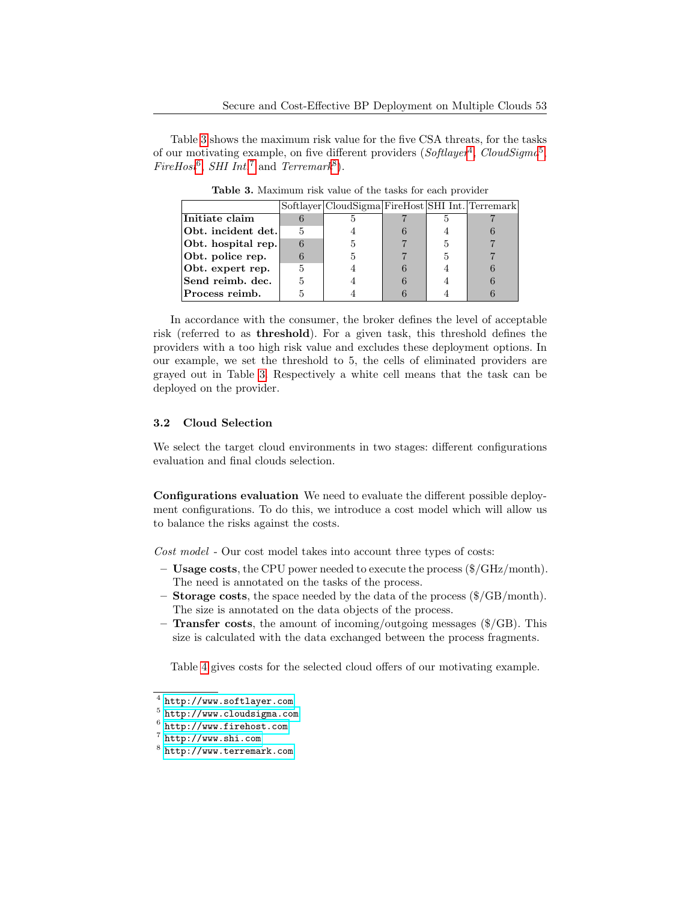Table [3](#page-4-0) shows the maximum risk value for the five CSA threats, for the tasks of our motivating example, on five different providers ( $Softlayer<sup>4</sup>$  $Softlayer<sup>4</sup>$  $Softlayer<sup>4</sup>$ ,  $CloudSigma<sup>5</sup>$  $CloudSigma<sup>5</sup>$  $CloudSigma<sup>5</sup>$ , FireHost<sup>[6](#page-4-3)</sup>, SHI Int.<sup>[7](#page-4-4)</sup> and Terremark<sup>[8](#page-4-5)</sup>).

<span id="page-4-0"></span>

|                    |   | Softlayer CloudSigma FireHost SHI Int. Terremark |  |  |
|--------------------|---|--------------------------------------------------|--|--|
| Initiate claim     |   |                                                  |  |  |
| Obt. incident det. | 5 |                                                  |  |  |
| Obt. hospital rep. | 6 | b,                                               |  |  |
| Obt. police rep.   |   |                                                  |  |  |
| Obt. expert rep.   | 5 |                                                  |  |  |
| Send reimb. dec.   | 5 |                                                  |  |  |
| Process reimb.     | h |                                                  |  |  |

Table 3. Maximum risk value of the tasks for each provider

In accordance with the consumer, the broker defines the level of acceptable risk (referred to as threshold). For a given task, this threshold defines the providers with a too high risk value and excludes these deployment options. In our example, we set the threshold to 5, the cells of eliminated providers are grayed out in Table [3.](#page-4-0) Respectively a white cell means that the task can be deployed on the provider.

#### 3.2 Cloud Selection

We select the target cloud environments in two stages: different configurations evaluation and final clouds selection.

Configurations evaluation We need to evaluate the different possible deployment configurations. To do this, we introduce a cost model which will allow us to balance the risks against the costs.

Cost model - Our cost model takes into account three types of costs:

- Usage costs, the CPU power needed to execute the process (\$/GHz/month). The need is annotated on the tasks of the process.
- $-$  Storage costs, the space needed by the data of the process ( $\frac{\sqrt{GB}}{month}$ ). The size is annotated on the data objects of the process.
- $-$  Transfer costs, the amount of incoming/outgoing messages (\$/GB). This size is calculated with the data exchanged between the process fragments.

Table [4](#page-5-0) gives costs for the selected cloud offers of our motivating example.

<span id="page-4-1"></span> $^4$  <http://www.softlayer.com>

<span id="page-4-2"></span><sup>5</sup> <http://www.cloudsigma.com>

<span id="page-4-3"></span> $^6$  <http://www.firehost.com>

<span id="page-4-4"></span><sup>7</sup> <http://www.shi.com>

<span id="page-4-5"></span><sup>8</sup> <http://www.terremark.com>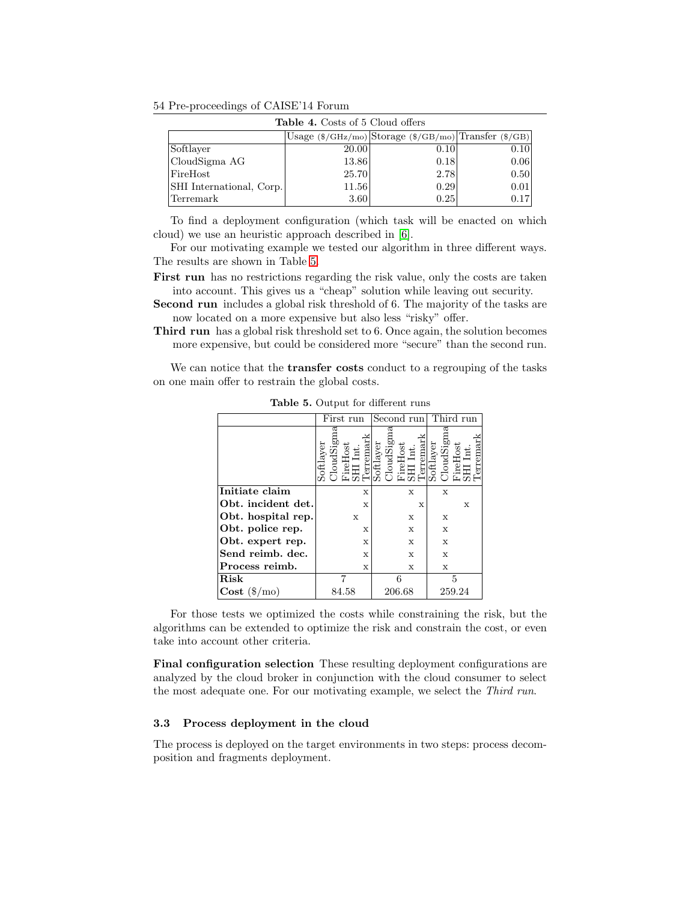54 Pre-proceedings of CAISE'14 Forum

<span id="page-5-0"></span>

| <b>Table 4.</b> Costs of 5 Cloud offers |                                                                                                    |      |      |  |  |  |  |  |  |  |
|-----------------------------------------|----------------------------------------------------------------------------------------------------|------|------|--|--|--|--|--|--|--|
|                                         | Usage $(\frac{\sqrt{GHz}}{mo})$ Storage $(\frac{\sqrt{GB}}{mo})$ Transfer $(\frac{\sqrt{GB}}{bo})$ |      |      |  |  |  |  |  |  |  |
| Softlayer                               | 20.00                                                                                              | 0.10 | 0.10 |  |  |  |  |  |  |  |
| CloudSigma AG                           | 13.86                                                                                              | 0.18 | 0.06 |  |  |  |  |  |  |  |
| FireHost                                | 25.70                                                                                              | 2.78 | 0.50 |  |  |  |  |  |  |  |
| SHI International, Corp.                | 11.56                                                                                              | 0.29 | 0.01 |  |  |  |  |  |  |  |
| Terremark                               | 3.60                                                                                               | 0.25 | 0.17 |  |  |  |  |  |  |  |

To find a deployment configuration (which task will be enacted on which cloud) we use an heuristic approach described in [\[6\]](#page-7-5).

For our motivating example we tested our algorithm in three different ways. The results are shown in Table [5.](#page-5-1)

First run has no restrictions regarding the risk value, only the costs are taken into account. This gives us a "cheap" solution while leaving out security.

Second run includes a global risk threshold of 6. The majority of the tasks are now located on a more expensive but also less "risky" offer.

Third run has a global risk threshold set to 6. Once again, the solution becomes more expensive, but could be considered more "secure" than the second run.

<span id="page-5-1"></span>We can notice that the **transfer costs** conduct to a regrouping of the tasks on one main offer to restrain the global costs.

|                                | First run |          |                   |   |             | Second run             |                  |                                   |   | Third run |           |          |          |   |        |
|--------------------------------|-----------|----------|-------------------|---|-------------|------------------------|------------------|-----------------------------------|---|-----------|-----------|----------|----------|---|--------|
|                                | Softlayer | loudSign | reHost<br>II Int. |   |             | Terremarl<br>Softlayer | <b>CloudSign</b> | FireHost<br>SHI Int.<br>Terremark |   |           | Softlayer | loudSign | FireHost |   | rremar |
| Initiate claim                 |           |          |                   |   | X           |                        |                  |                                   | X |           |           | X        |          |   |        |
| Obt. incident det.             |           |          |                   |   | X           |                        |                  |                                   |   | X         |           |          |          | X |        |
| Obt. hospital rep.             |           |          |                   | X |             |                        |                  |                                   | X |           |           | X        |          |   |        |
| Obt. police rep.               |           |          |                   |   | X           |                        |                  |                                   | X |           |           | X        |          |   |        |
| Obt. expert rep.               |           |          |                   |   | X           |                        |                  |                                   | X |           |           | X        |          |   |        |
| Send reimb. dec.               |           |          |                   |   | $\mathbf x$ |                        |                  |                                   | X |           |           | X        |          |   |        |
| Process reimb.                 |           |          |                   |   | X           |                        |                  |                                   | X |           |           | X        |          |   |        |
| Risk                           |           |          |                   |   |             |                        |                  | 6                                 |   |           |           |          | 5        |   |        |
| $\textbf{Cost} (\$/\text{mo})$ |           |          | 84.58             |   |             |                        | 206.68           |                                   |   |           |           | 259.24   |          |   |        |

Table 5. Output for different runs

For those tests we optimized the costs while constraining the risk, but the algorithms can be extended to optimize the risk and constrain the cost, or even take into account other criteria.

Final configuration selection These resulting deployment configurations are analyzed by the cloud broker in conjunction with the cloud consumer to select the most adequate one. For our motivating example, we select the Third run.

#### 3.3 Process deployment in the cloud

The process is deployed on the target environments in two steps: process decomposition and fragments deployment.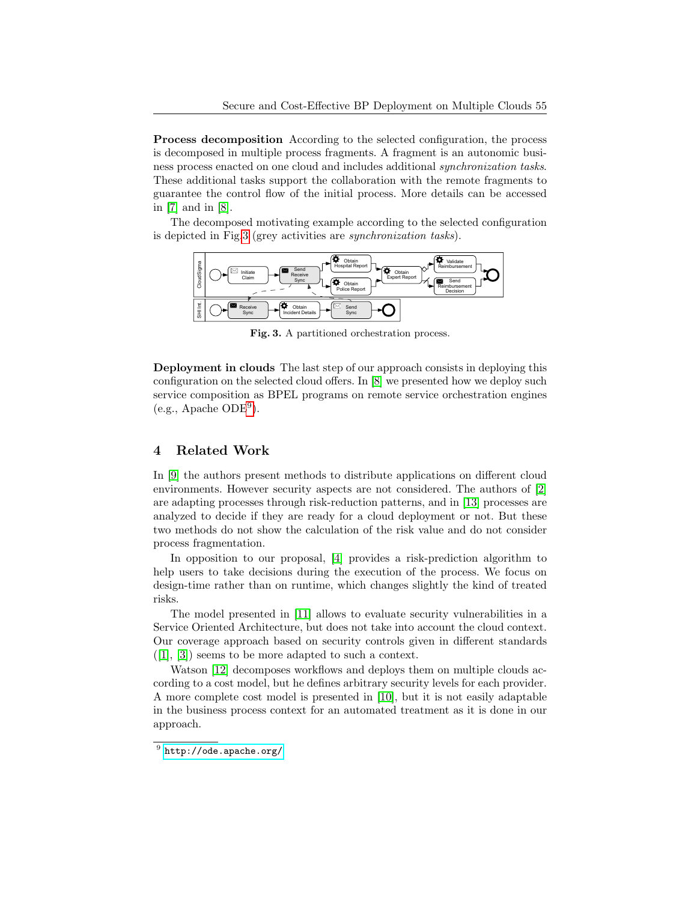Process decomposition According to the selected configuration, the process is decomposed in multiple process fragments. A fragment is an autonomic business process enacted on one cloud and includes additional synchronization tasks. These additional tasks support the collaboration with the remote fragments to guarantee the control flow of the initial process. More details can be accessed in [\[7\]](#page-7-3) and in [\[8\]](#page-7-4).

The decomposed motivating example according to the selected configuration is depicted in Fig[.3](#page-6-1) (grey activities are synchronization tasks).



<span id="page-6-1"></span>Fig. 3. A partitioned orchestration process.

Deployment in clouds The last step of our approach consists in deploying this configuration on the selected cloud offers. In [\[8\]](#page-7-4) we presented how we deploy such service composition as BPEL programs on remote service orchestration engines (e.g., Apache ODE[9](#page-6-2) ).

# <span id="page-6-0"></span>4 Related Work

In [\[9\]](#page-7-6) the authors present methods to distribute applications on different cloud environments. However security aspects are not considered. The authors of [\[2\]](#page-7-7) are adapting processes through risk-reduction patterns, and in [\[13\]](#page-7-8) processes are analyzed to decide if they are ready for a cloud deployment or not. But these two methods do not show the calculation of the risk value and do not consider process fragmentation.

In opposition to our proposal, [\[4\]](#page-7-9) provides a risk-prediction algorithm to help users to take decisions during the execution of the process. We focus on design-time rather than on runtime, which changes slightly the kind of treated risks.

The model presented in [\[11\]](#page-7-10) allows to evaluate security vulnerabilities in a Service Oriented Architecture, but does not take into account the cloud context. Our coverage approach based on security controls given in different standards  $([1], [3])$  $([1], [3])$  $([1], [3])$  $([1], [3])$  $([1], [3])$  seems to be more adapted to such a context.

Watson [\[12\]](#page-7-12) decomposes workflows and deploys them on multiple clouds according to a cost model, but he defines arbitrary security levels for each provider. A more complete cost model is presented in [\[10\]](#page-7-13), but it is not easily adaptable in the business process context for an automated treatment as it is done in our approach.

<span id="page-6-2"></span> $^9$  <http://ode.apache.org/>